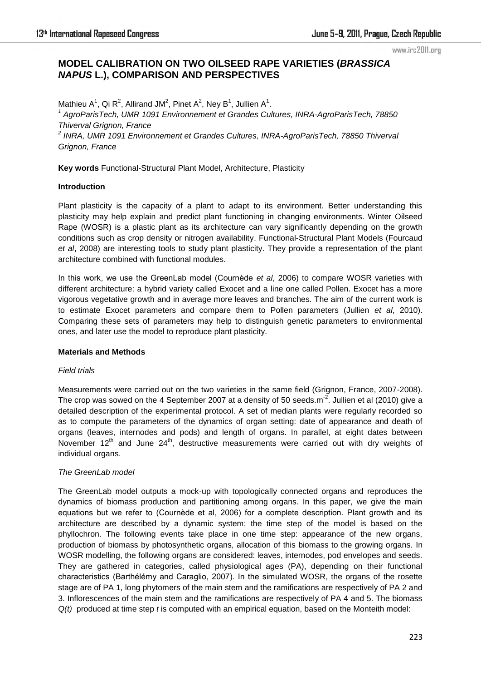# **MODEL CALIBRATION ON TWO OILSEED RAPE VARIETIES (***BRASSICA NAPUS* **L.), COMPARISON AND PERSPECTIVES**

Mathieu A<sup>1</sup>, Qi R<sup>2</sup>, Allirand JM<sup>2</sup>, Pinet A<sup>2</sup>, Ney B<sup>1</sup>, Jullien A<sup>1</sup>. *1 AgroParisTech, UMR 1091 Environnement et Grandes Cultures, INRA-AgroParisTech, 78850 Thiverval Grignon, France*  <sup>2</sup> INRA, UMR 1091 Environnement et Grandes Cultures, INRA-AgroParisTech, 78850 Thiverval *Grignon, France* 

**Key words** Functional-Structural Plant Model, Architecture, Plasticity

#### **Introduction**

Plant plasticity is the capacity of a plant to adapt to its environment. Better understanding this plasticity may help explain and predict plant functioning in changing environments. Winter Oilseed Rape (WOSR) is a plastic plant as its architecture can vary significantly depending on the growth conditions such as crop density or nitrogen availability. Functional-Structural Plant Models (Fourcaud *et al*, 2008) are interesting tools to study plant plasticity. They provide a representation of the plant architecture combined with functional modules.

In this work, we use the GreenLab model (Cournède *et al*, 2006) to compare WOSR varieties with different architecture: a hybrid variety called Exocet and a line one called Pollen. Exocet has a more vigorous vegetative growth and in average more leaves and branches. The aim of the current work is to estimate Exocet parameters and compare them to Pollen parameters (Jullien *et al*, 2010). Comparing these sets of parameters may help to distinguish genetic parameters to environmental ones, and later use the model to reproduce plant plasticity.

#### **Materials and Methods**

#### *Field trials*

Measurements were carried out on the two varieties in the same field (Grignon, France, 2007-2008). The crop was sowed on the 4 September 2007 at a density of 50 seeds. $m^2$ . Jullien et al (2010) give a detailed description of the experimental protocol. A set of median plants were regularly recorded so as to compute the parameters of the dynamics of organ setting: date of appearance and death of organs (leaves, internodes and pods) and length of organs. In parallel, at eight dates between November  $12<sup>th</sup>$  and June  $24<sup>th</sup>$ , destructive measurements were carried out with dry weights of individual organs.

## *The GreenLab model*

The GreenLab model outputs a mock-up with topologically connected organs and reproduces the dynamics of biomass production and partitioning among organs. In this paper, we give the main equations but we refer to (Cournède et al, 2006) for a complete description. Plant growth and its architecture are described by a dynamic system; the time step of the model is based on the phyllochron. The following events take place in one time step: appearance of the new organs, production of biomass by photosynthetic organs, allocation of this biomass to the growing organs. In WOSR modelling, the following organs are considered: leaves, internodes, pod envelopes and seeds. They are gathered in categories, called physiological ages (PA), depending on their functional characteristics (Barthélémy and Caraglio, 2007). In the simulated WOSR, the organs of the rosette stage are of PA 1, long phytomers of the main stem and the ramifications are respectively of PA 2 and 3. Inflorescences of the main stem and the ramifications are respectively of PA 4 and 5. The biomass *Q(t)* produced at time step *t* is computed with an empirical equation, based on the Monteith model: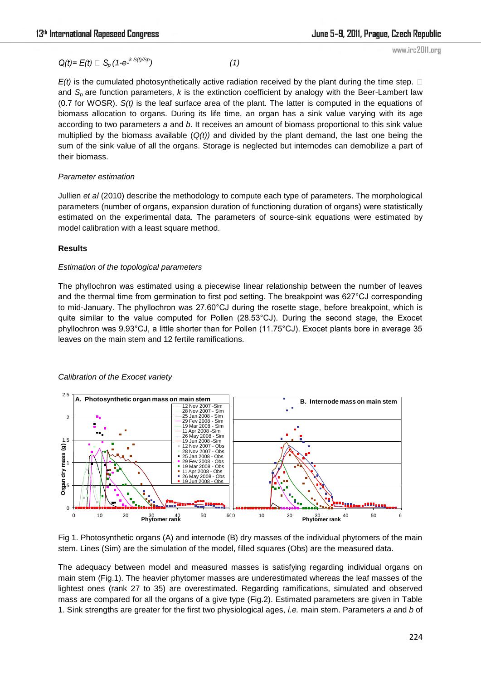# $Q(t) = E(t) \Box S_p (1-e^{-k S(t)/Sp})$  (1)

www.irc2011.org

 $E(t)$  is the cumulated photosynthetically active radiation received by the plant during the time step.  $\square$ and *S<sub>p</sub>* are function parameters, *k* is the extinction coefficient by analogy with the Beer-Lambert law (0.7 for WOSR). *S(t)* is the leaf surface area of the plant. The latter is computed in the equations of biomass allocation to organs. During its life time, an organ has a sink value varying with its age according to two parameters *a* and *b*. It receives an amount of biomass proportional to this sink value multiplied by the biomass available  $(Q(t))$  and divided by the plant demand, the last one being the sum of the sink value of all the organs. Storage is neglected but internodes can demobilize a part of their biomass.

# *Parameter estimation*

Jullien *et al* (2010) describe the methodology to compute each type of parameters. The morphological parameters (number of organs, expansion duration of functioning duration of organs) were statistically estimated on the experimental data. The parameters of source-sink equations were estimated by model calibration with a least square method.

## **Results**

## *Estimation of the topological parameters*

The phyllochron was estimated using a piecewise linear relationship between the number of leaves and the thermal time from germination to first pod setting. The breakpoint was 627°CJ corresponding to mid-January. The phyllochron was 27.60°CJ during the rosette stage, before breakpoint, which is quite similar to the value computed for Pollen (28.53°CJ). During the second stage, the Exocet phyllochron was 9.93°CJ, a little shorter than for Pollen (11.75°CJ). Exocet plants bore in average 35 leaves on the main stem and 12 fertile ramifications.



### *Calibration of the Exocet variety*

Fig 1. Photosynthetic organs (A) and internode (B) dry masses of the individual phytomers of the main stem. Lines (Sim) are the simulation of the model, filled squares (Obs) are the measured data.

The adequacy between model and measured masses is satisfying regarding individual organs on main stem (Fig.1). The heavier phytomer masses are underestimated whereas the leaf masses of the lightest ones (rank 27 to 35) are overestimated. Regarding ramifications, simulated and observed mass are compared for all the organs of a give type (Fig.2). Estimated parameters are given in Table 1. Sink strengths are greater for the first two physiological ages, *i.e.* main stem. Parameters *a* and *b* of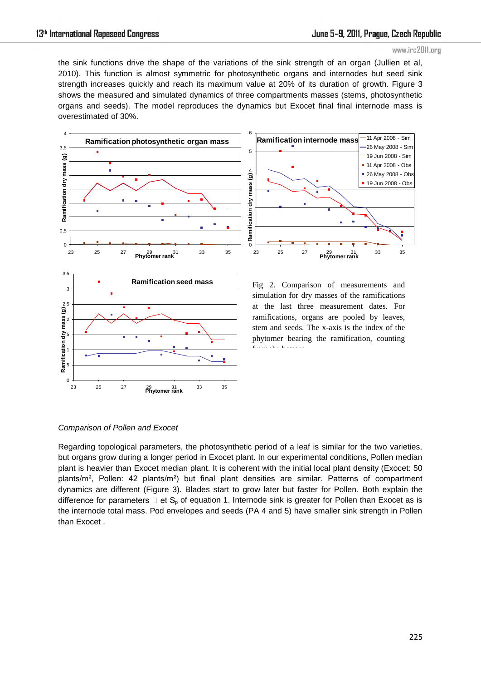the sink functions drive the shape of the variations of the sink strength of an organ (Jullien et al, 2010). This function is almost symmetric for photosynthetic organs and internodes but seed sink strength increases quickly and reach its maximum value at 20% of its duration of growth. Figure 3 shows the measured and simulated dynamics of three compartments masses (stems, photosynthetic organs and seeds). The model reproduces the dynamics but Exocet final final internode mass is overestimated of 30%.





Fig 2. Comparison of measurements and simulation for dry masses of the ramifications at the last three measurement dates. For ramifications, organs are pooled by leaves, stem and seeds. The x-axis is the index of the phytomer bearing the ramification, counting from the bottom the bottom of  $\mathbf{f}_1$ 

### *Comparison of Pollen and Exocet*

Regarding topological parameters, the photosynthetic period of a leaf is similar for the two varieties, but organs grow during a longer period in Exocet plant. In our experimental conditions, Pollen median plant is heavier than Exocet median plant. It is coherent with the initial local plant density (Exocet: 50 plants/m², Pollen: 42 plants/m²) but final plant densities are similar. Patterns of compartment dynamics are different (Figure 3). Blades start to grow later but faster for Pollen. Both explain the difference for parameters  $\Box$  et  $S_p$  of equation 1. Internode sink is greater for Pollen than Exocet as is the internode total mass. Pod envelopes and seeds (PA 4 and 5) have smaller sink strength in Pollen than Exocet .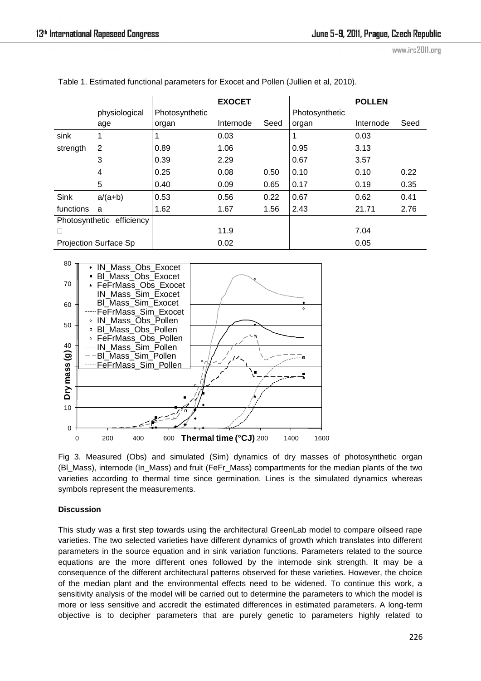|                              |               |                | <b>EXOCET</b> |      |                | <b>POLLEN</b> |      |
|------------------------------|---------------|----------------|---------------|------|----------------|---------------|------|
|                              | physiological | Photosynthetic |               |      | Photosynthetic |               |      |
|                              | age           | organ          | Internode     | Seed | organ          | Internode     | Seed |
| sink                         | 1             |                | 0.03          |      |                | 0.03          |      |
| strength                     | 2             | 0.89           | 1.06          |      | 0.95           | 3.13          |      |
|                              | 3             | 0.39           | 2.29          |      | 0.67           | 3.57          |      |
|                              | 4             | 0.25           | 0.08          | 0.50 | 0.10           | 0.10          | 0.22 |
|                              | 5             | 0.40           | 0.09          | 0.65 | 0.17           | 0.19          | 0.35 |
| Sink                         | $a/(a+b)$     | 0.53           | 0.56          | 0.22 | 0.67           | 0.62          | 0.41 |
| functions                    | a             | 1.62           | 1.67          | 1.56 | 2.43           | 21.71         | 2.76 |
| Photosynthetic efficiency    |               |                |               |      |                |               |      |
|                              |               |                | 11.9          |      |                | 7.04          |      |
| <b>Projection Surface Sp</b> |               |                | 0.02          |      |                | 0.05          |      |

Table 1. Estimated functional parameters for Exocet and Pollen (Jullien et al, 2010).



Fig 3. Measured (Obs) and simulated (Sim) dynamics of dry masses of photosynthetic organ (Bl\_Mass), internode (In\_Mass) and fruit (FeFr\_Mass) compartments for the median plants of the two varieties according to thermal time since germination. Lines is the simulated dynamics whereas symbols represent the measurements.

# **Discussion**

This study was a first step towards using the architectural GreenLab model to compare oilseed rape varieties. The two selected varieties have different dynamics of growth which translates into different parameters in the source equation and in sink variation functions. Parameters related to the source equations are the more different ones followed by the internode sink strength. It may be a consequence of the different architectural patterns observed for these varieties. However, the choice of the median plant and the environmental effects need to be widened. To continue this work, a sensitivity analysis of the model will be carried out to determine the parameters to which the model is more or less sensitive and accredit the estimated differences in estimated parameters. A long-term objective is to decipher parameters that are purely genetic to parameters highly related to